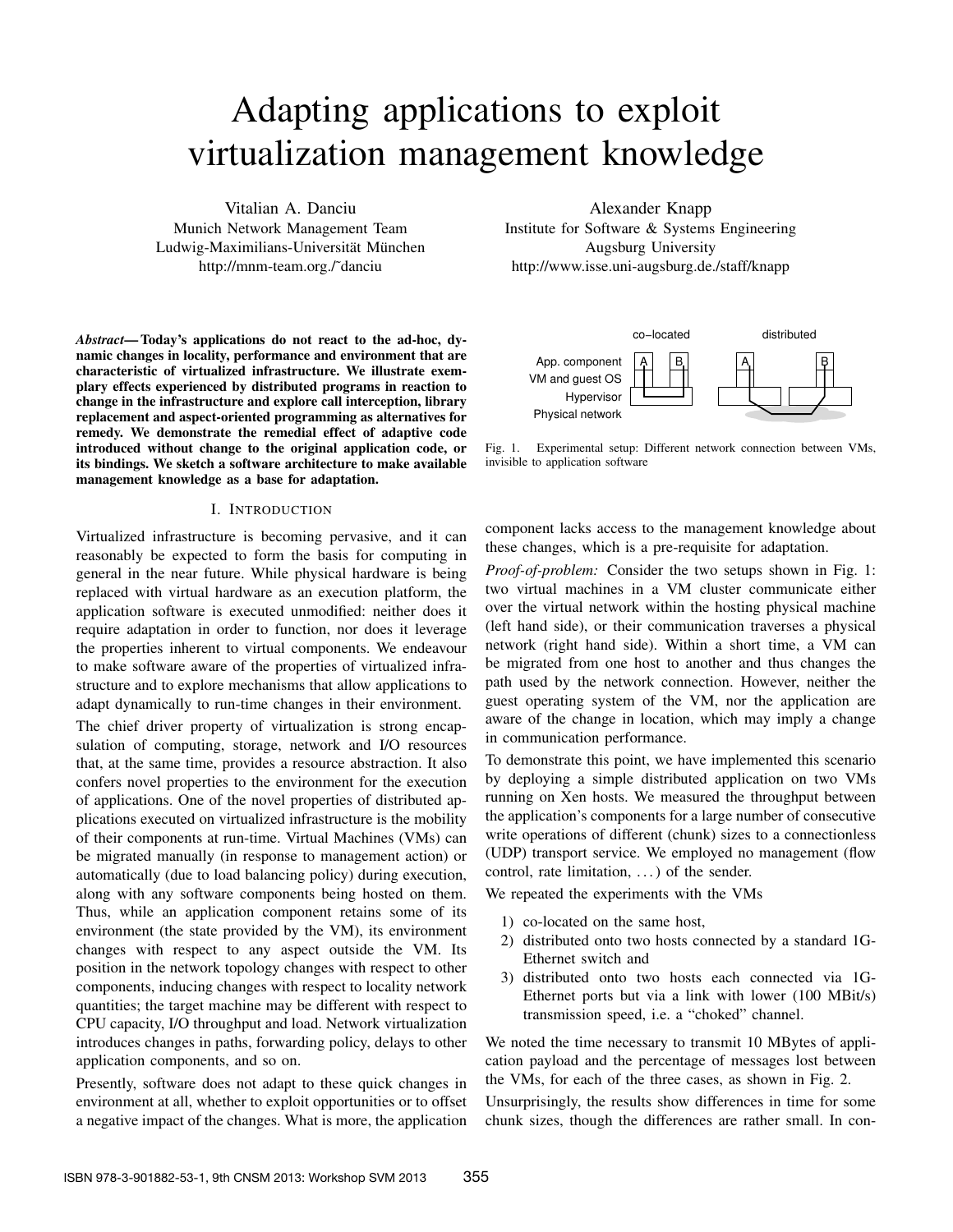# Adapting applications to exploit virtualization management knowledge

Vitalian A. Danciu Munich Network Management Team Ludwig-Maximilians-Universität München http://mnm-team.org./˜danciu

*Abstract*— Today's applications do not react to the ad-hoc, dynamic changes in locality, performance and environment that are characteristic of virtualized infrastructure. We illustrate exemplary effects experienced by distributed programs in reaction to change in the infrastructure and explore call interception, library replacement and aspect-oriented programming as alternatives for remedy. We demonstrate the remedial effect of adaptive code introduced without change to the original application code, or its bindings. We sketch a software architecture to make available management knowledge as a base for adaptation.

#### I. INTRODUCTION

Virtualized infrastructure is becoming pervasive, and it can reasonably be expected to form the basis for computing in general in the near future. While physical hardware is being replaced with virtual hardware as an execution platform, the application software is executed unmodified: neither does it require adaptation in order to function, nor does it leverage the properties inherent to virtual components. We endeavour to make software aware of the properties of virtualized infrastructure and to explore mechanisms that allow applications to adapt dynamically to run-time changes in their environment.

The chief driver property of virtualization is strong encapsulation of computing, storage, network and I/O resources that, at the same time, provides a resource abstraction. It also confers novel properties to the environment for the execution of applications. One of the novel properties of distributed applications executed on virtualized infrastructure is the mobility of their components at run-time. Virtual Machines (VMs) can be migrated manually (in response to management action) or automatically (due to load balancing policy) during execution, along with any software components being hosted on them. Thus, while an application component retains some of its environment (the state provided by the VM), its environment changes with respect to any aspect outside the VM. Its position in the network topology changes with respect to other components, inducing changes with respect to locality network quantities; the target machine may be different with respect to CPU capacity, I/O throughput and load. Network virtualization introduces changes in paths, forwarding policy, delays to other application components, and so on.

Presently, software does not adapt to these quick changes in environment at all, whether to exploit opportunities or to offset a negative impact of the changes. What is more, the application Alexander Knapp

Institute for Software & Systems Engineering Augsburg University http://www.isse.uni-augsburg.de./staff/knapp



Fig. 1. Experimental setup: Different network connection between VMs, invisible to application software

component lacks access to the management knowledge about these changes, which is a pre-requisite for adaptation.

*Proof-of-problem:* Consider the two setups shown in Fig. 1: two virtual machines in a VM cluster communicate either over the virtual network within the hosting physical machine (left hand side), or their communication traverses a physical network (right hand side). Within a short time, a VM can be migrated from one host to another and thus changes the path used by the network connection. However, neither the guest operating system of the VM, nor the application are aware of the change in location, which may imply a change in communication performance.

To demonstrate this point, we have implemented this scenario by deploying a simple distributed application on two VMs running on Xen hosts. We measured the throughput between the application's components for a large number of consecutive write operations of different (chunk) sizes to a connectionless (UDP) transport service. We employed no management (flow control, rate limitation, . . . ) of the sender.

We repeated the experiments with the VMs

- 1) co-located on the same host,
- 2) distributed onto two hosts connected by a standard 1G-Ethernet switch and
- 3) distributed onto two hosts each connected via 1G-Ethernet ports but via a link with lower (100 MBit/s) transmission speed, i.e. a "choked" channel.

We noted the time necessary to transmit 10 MBytes of application payload and the percentage of messages lost between the VMs, for each of the three cases, as shown in Fig. 2.

Unsurprisingly, the results show differences in time for some chunk sizes, though the differences are rather small. In con-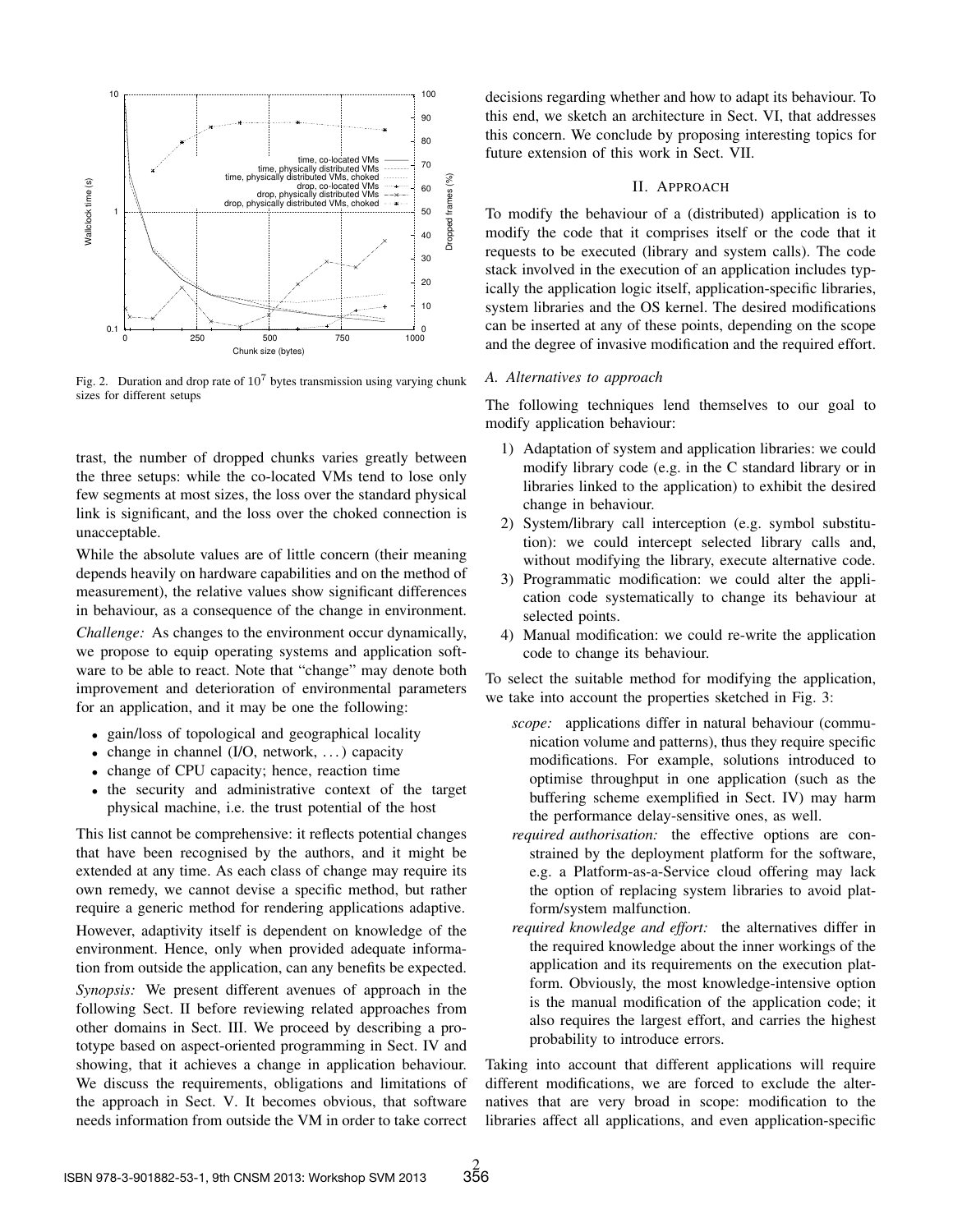

Fig. 2. Duration and drop rate of  $10<sup>7</sup>$  bytes transmission using varying chunk sizes for different setups

trast, the number of dropped chunks varies greatly between the three setups: while the co-located VMs tend to lose only few segments at most sizes, the loss over the standard physical link is significant, and the loss over the choked connection is unacceptable.

While the absolute values are of little concern (their meaning depends heavily on hardware capabilities and on the method of measurement), the relative values show significant differences in behaviour, as a consequence of the change in environment.

*Challenge:* As changes to the environment occur dynamically, we propose to equip operating systems and application software to be able to react. Note that "change" may denote both improvement and deterioration of environmental parameters for an application, and it may be one the following:

- gain/loss of topological and geographical locality
- $\bullet$  change in channel (I/O, network, ...) capacity
- change of CPU capacity; hence, reaction time
- the security and administrative context of the target physical machine, i.e. the trust potential of the host

This list cannot be comprehensive: it reflects potential changes that have been recognised by the authors, and it might be extended at any time. As each class of change may require its own remedy, we cannot devise a specific method, but rather require a generic method for rendering applications adaptive. However, adaptivity itself is dependent on knowledge of the environment. Hence, only when provided adequate information from outside the application, can any benefits be expected. *Synopsis:* We present different avenues of approach in the following Sect. II before reviewing related approaches from other domains in Sect. III. We proceed by describing a prototype based on aspect-oriented programming in Sect. IV and showing, that it achieves a change in application behaviour. We discuss the requirements, obligations and limitations of the approach in Sect. V. It becomes obvious, that software needs information from outside the VM in order to take correct

decisions regarding whether and how to adapt its behaviour. To this end, we sketch an architecture in Sect. VI, that addresses this concern. We conclude by proposing interesting topics for future extension of this work in Sect. VII.

## II. APPROACH

To modify the behaviour of a (distributed) application is to modify the code that it comprises itself or the code that it requests to be executed (library and system calls). The code stack involved in the execution of an application includes typically the application logic itself, application-specific libraries, system libraries and the OS kernel. The desired modifications can be inserted at any of these points, depending on the scope and the degree of invasive modification and the required effort.

# *A. Alternatives to approach*

The following techniques lend themselves to our goal to modify application behaviour:

- 1) Adaptation of system and application libraries: we could modify library code (e.g. in the C standard library or in libraries linked to the application) to exhibit the desired change in behaviour.
- 2) System/library call interception (e.g. symbol substitution): we could intercept selected library calls and, without modifying the library, execute alternative code.
- 3) Programmatic modification: we could alter the application code systematically to change its behaviour at selected points.
- 4) Manual modification: we could re-write the application code to change its behaviour.

To select the suitable method for modifying the application, we take into account the properties sketched in Fig. 3:

- *scope:* applications differ in natural behaviour (communication volume and patterns), thus they require specific modifications. For example, solutions introduced to optimise throughput in one application (such as the buffering scheme exemplified in Sect. IV) may harm the performance delay-sensitive ones, as well.
- *required authorisation:* the effective options are constrained by the deployment platform for the software, e.g. a Platform-as-a-Service cloud offering may lack the option of replacing system libraries to avoid platform/system malfunction.
- *required knowledge and effort:* the alternatives differ in the required knowledge about the inner workings of the application and its requirements on the execution platform. Obviously, the most knowledge-intensive option is the manual modification of the application code; it also requires the largest effort, and carries the highest probability to introduce errors.

Taking into account that different applications will require different modifications, we are forced to exclude the alternatives that are very broad in scope: modification to the libraries affect all applications, and even application-specific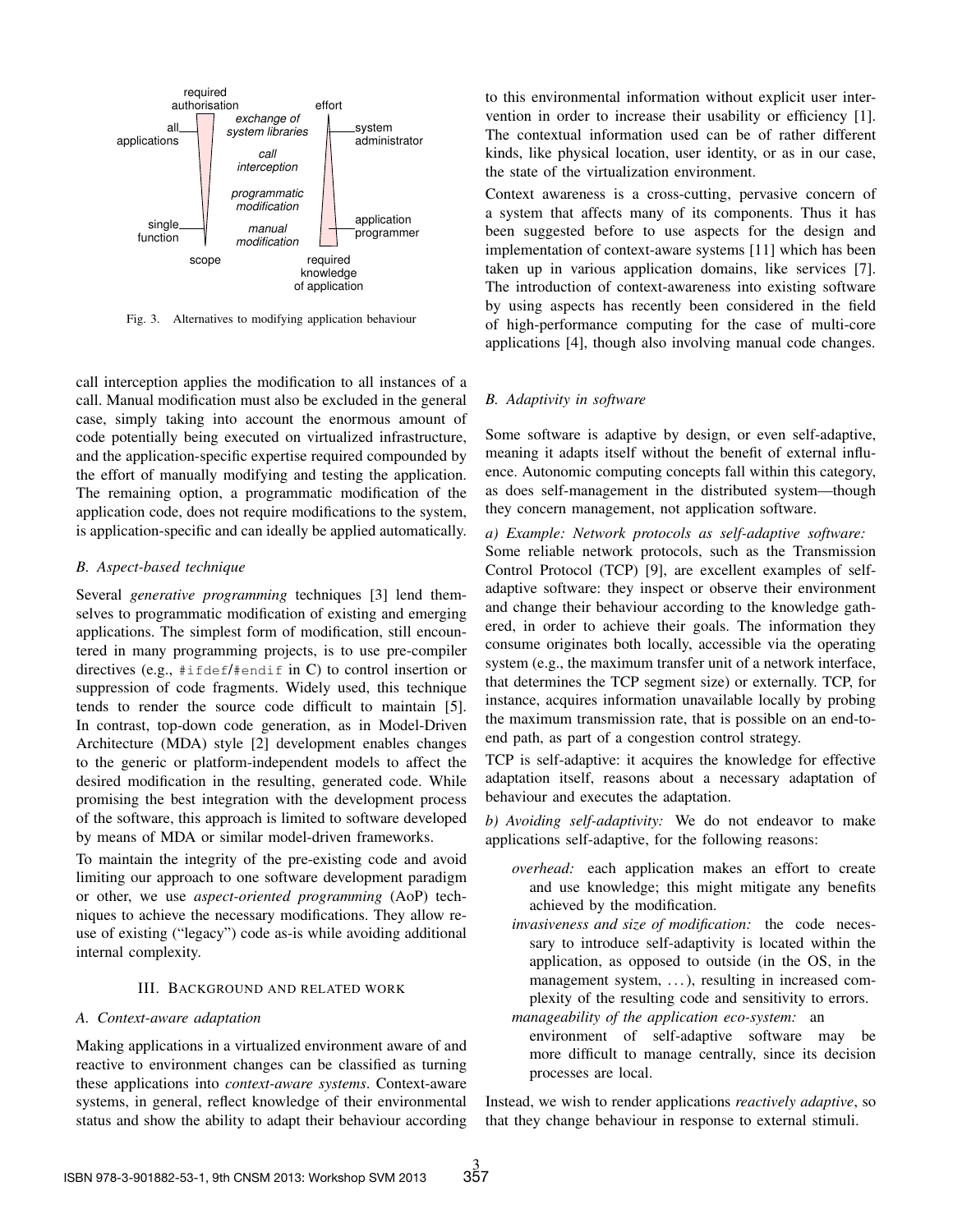

Fig. 3. Alternatives to modifying application behaviour

call interception applies the modification to all instances of a call. Manual modification must also be excluded in the general case, simply taking into account the enormous amount of code potentially being executed on virtualized infrastructure, and the application-specific expertise required compounded by the effort of manually modifying and testing the application. The remaining option, a programmatic modification of the application code, does not require modifications to the system, is application-specific and can ideally be applied automatically.

# *B. Aspect-based technique*

Several *generative programming* techniques [3] lend themselves to programmatic modification of existing and emerging applications. The simplest form of modification, still encountered in many programming projects, is to use pre-compiler directives (e.g., #ifdef/#endif in C) to control insertion or suppression of code fragments. Widely used, this technique tends to render the source code difficult to maintain [5]. In contrast, top-down code generation, as in Model-Driven Architecture (MDA) style [2] development enables changes to the generic or platform-independent models to affect the desired modification in the resulting, generated code. While promising the best integration with the development process of the software, this approach is limited to software developed by means of MDA or similar model-driven frameworks.

To maintain the integrity of the pre-existing code and avoid limiting our approach to one software development paradigm or other, we use *aspect-oriented programming* (AoP) techniques to achieve the necessary modifications. They allow reuse of existing ("legacy") code as-is while avoiding additional internal complexity.

#### III. BACKGROUND AND RELATED WORK

# *A. Context-aware adaptation*

Making applications in a virtualized environment aware of and reactive to environment changes can be classified as turning these applications into *context-aware systems*. Context-aware systems, in general, reflect knowledge of their environmental status and show the ability to adapt their behaviour according

to this environmental information without explicit user intervention in order to increase their usability or efficiency [1]. The contextual information used can be of rather different kinds, like physical location, user identity, or as in our case, the state of the virtualization environment.

Context awareness is a cross-cutting, pervasive concern of a system that affects many of its components. Thus it has been suggested before to use aspects for the design and implementation of context-aware systems [11] which has been taken up in various application domains, like services [7]. The introduction of context-awareness into existing software by using aspects has recently been considered in the field of high-performance computing for the case of multi-core applications [4], though also involving manual code changes.

## *B. Adaptivity in software*

Some software is adaptive by design, or even self-adaptive, meaning it adapts itself without the benefit of external influence. Autonomic computing concepts fall within this category, as does self-management in the distributed system—though they concern management, not application software.

*a) Example: Network protocols as self-adaptive software:* Some reliable network protocols, such as the Transmission Control Protocol (TCP) [9], are excellent examples of selfadaptive software: they inspect or observe their environment and change their behaviour according to the knowledge gathered, in order to achieve their goals. The information they consume originates both locally, accessible via the operating system (e.g., the maximum transfer unit of a network interface, that determines the TCP segment size) or externally. TCP, for instance, acquires information unavailable locally by probing the maximum transmission rate, that is possible on an end-toend path, as part of a congestion control strategy.

TCP is self-adaptive: it acquires the knowledge for effective adaptation itself, reasons about a necessary adaptation of behaviour and executes the adaptation.

*b) Avoiding self-adaptivity:* We do not endeavor to make applications self-adaptive, for the following reasons:

- *overhead:* each application makes an effort to create and use knowledge; this might mitigate any benefits achieved by the modification.
- *invasiveness and size of modification:* the code necessary to introduce self-adaptivity is located within the application, as opposed to outside (in the OS, in the management system, ...), resulting in increased complexity of the resulting code and sensitivity to errors.
- *manageability of the application eco-system:* an environment of self-adaptive software may be more difficult to manage centrally, since its decision processes are local.

Instead, we wish to render applications *reactively adaptive*, so that they change behaviour in response to external stimuli.

 $3\overline{5}7$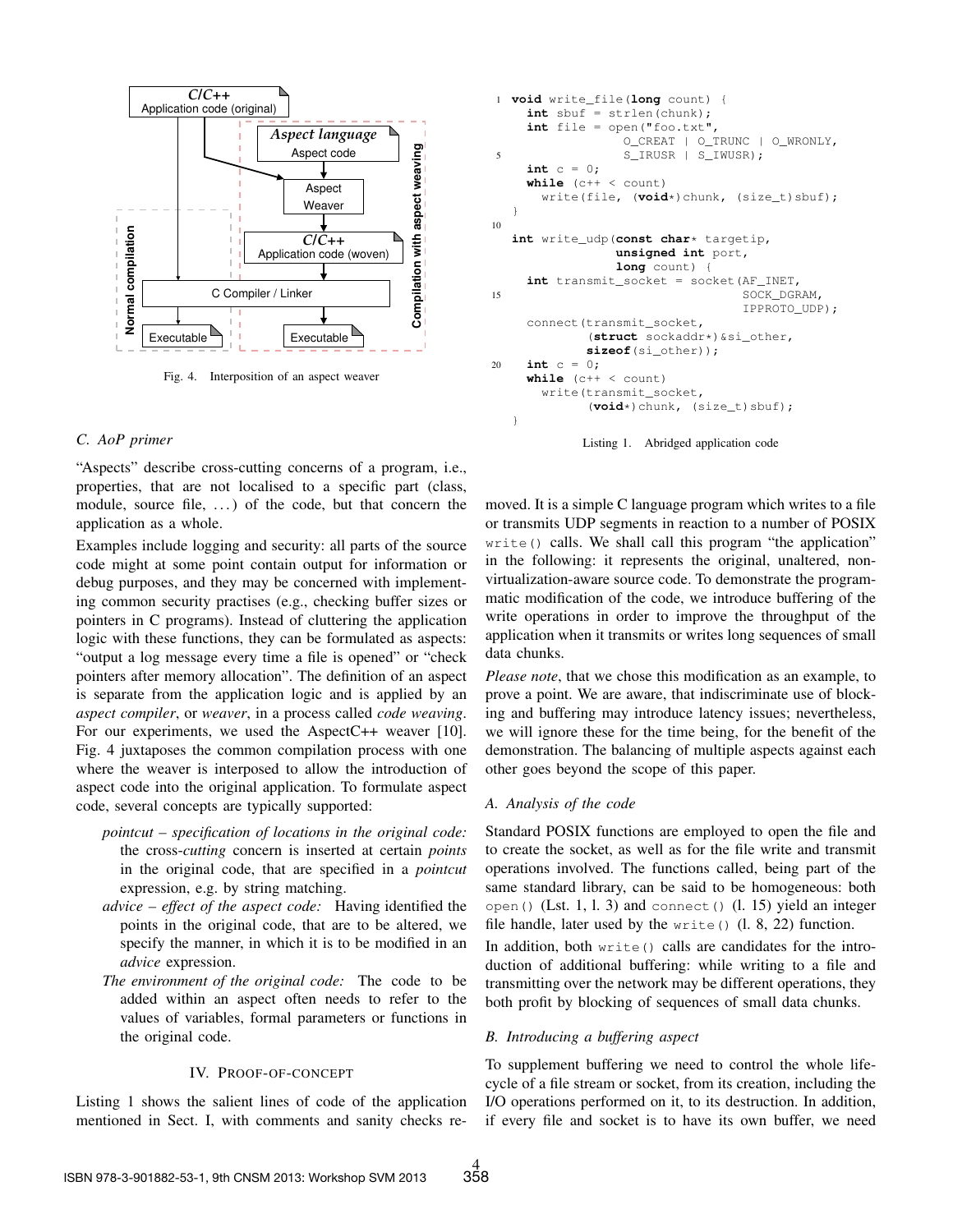

Fig. 4. Interposition of an aspect weaver

# *C. AoP primer*

"Aspects" describe cross-cutting concerns of a program, i.e., properties, that are not localised to a specific part (class, module, source file, ...) of the code, but that concern the application as a whole.

Examples include logging and security: all parts of the source code might at some point contain output for information or debug purposes, and they may be concerned with implementing common security practises (e.g., checking buffer sizes or pointers in C programs). Instead of cluttering the application logic with these functions, they can be formulated as aspects: "output a log message every time a file is opened" or "check pointers after memory allocation". The definition of an aspect is separate from the application logic and is applied by an *aspect compiler*, or *weaver*, in a process called *code weaving*. For our experiments, we used the AspectC++ weaver [10]. Fig. 4 juxtaposes the common compilation process with one where the weaver is interposed to allow the introduction of aspect code into the original application. To formulate aspect code, several concepts are typically supported:

- *pointcut specification of locations in the original code:* the cross-*cutting* concern is inserted at certain *points* in the original code, that are specified in a *pointcut* expression, e.g. by string matching.
- *advice effect of the aspect code:* Having identified the points in the original code, that are to be altered, we specify the manner, in which it is to be modified in an *advice* expression.
- *The environment of the original code:* The code to be added within an aspect often needs to refer to the values of variables, formal parameters or functions in the original code.

## IV. PROOF-OF-CONCEPT

Listing 1 shows the salient lines of code of the application mentioned in Sect. I, with comments and sanity checks re-

```
1 void write_file(long count) {
    int sbuf = strlen(chunk);
    int file = open("foo.txt",
                O_CREAT | O_TRUNC | O_WRONLY,
5 S_IRUSR | S_IWUSR);
    int c = 0;while (ct++ < count)write(file, (void*)chunk, (size_t)sbuf);
   }
10
  int write_udp(const char* targetip,
                unsigned int port,
               long count) {
    int transmit_socket = socket (AF_INET,
15 SOCK_DGRAM,
                                IPPROTO_UDP);
    connect(transmit_socket,
            (struct sockaddr*)&si_other,
            sizeof(si_other));
20 int c = 0;
    while (c++ < count)
      write(transmit_socket,
            (void*)chunk, (size_t)sbuf);
  }
```


moved. It is a simple C language program which writes to a file or transmits UDP segments in reaction to a number of POSIX write() calls. We shall call this program "the application" in the following: it represents the original, unaltered, nonvirtualization-aware source code. To demonstrate the programmatic modification of the code, we introduce buffering of the write operations in order to improve the throughput of the application when it transmits or writes long sequences of small data chunks.

*Please note*, that we chose this modification as an example, to prove a point. We are aware, that indiscriminate use of blocking and buffering may introduce latency issues; nevertheless, we will ignore these for the time being, for the benefit of the demonstration. The balancing of multiple aspects against each other goes beyond the scope of this paper.

#### *A. Analysis of the code*

Standard POSIX functions are employed to open the file and to create the socket, as well as for the file write and transmit operations involved. The functions called, being part of the same standard library, can be said to be homogeneous: both open() (Lst. 1, l. 3) and connect() (l. 15) yield an integer file handle, later used by the  $write()$  (l. 8, 22) function.

In addition, both write() calls are candidates for the introduction of additional buffering: while writing to a file and transmitting over the network may be different operations, they both profit by blocking of sequences of small data chunks.

#### *B. Introducing a buffering aspect*

To supplement buffering we need to control the whole lifecycle of a file stream or socket, from its creation, including the I/O operations performed on it, to its destruction. In addition, if every file and socket is to have its own buffer, we need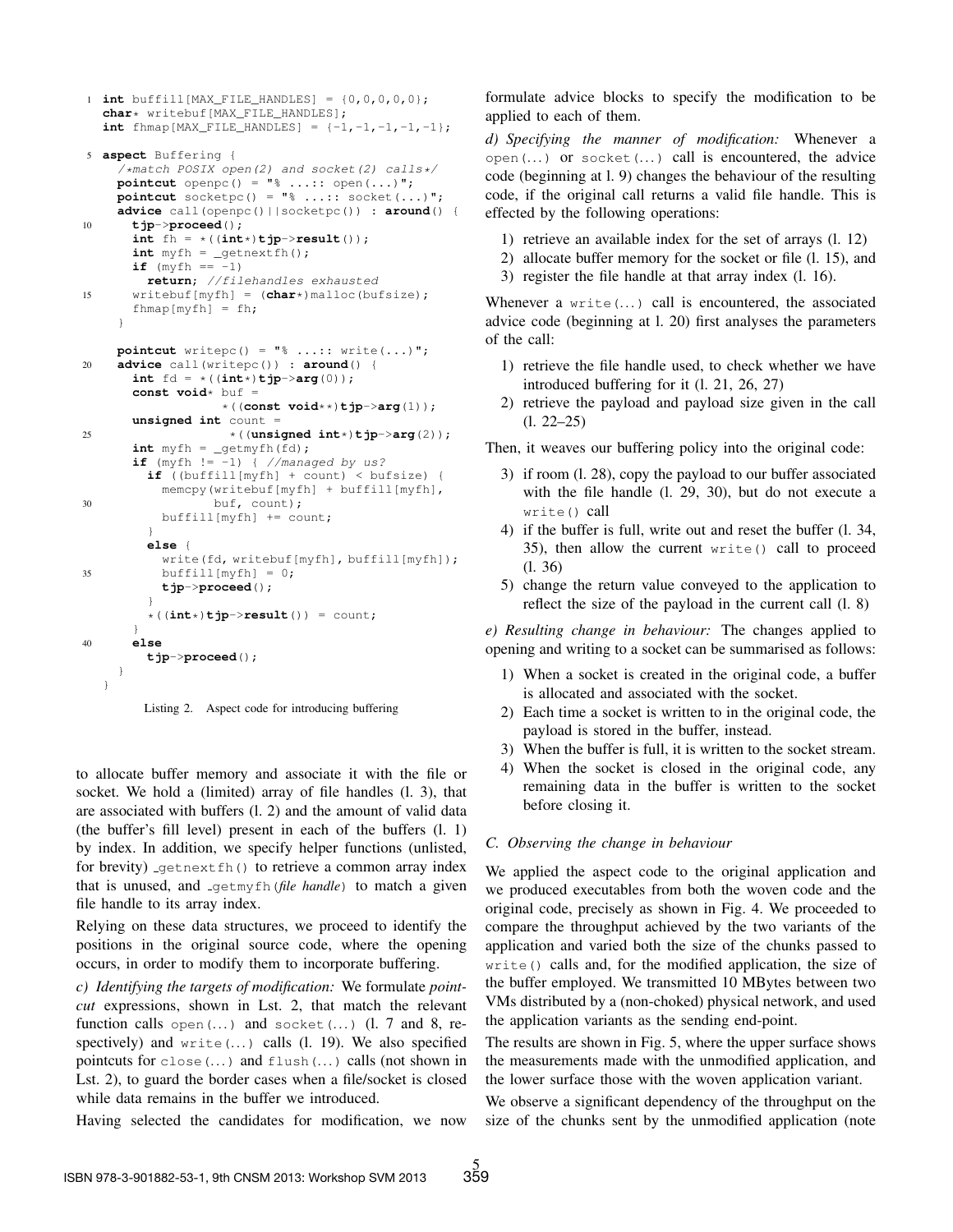```
1 int buffill[MAX_FILE_HANDLES] = {0,0,0,0,0};
  char* writebuf[MAX_FILE_HANDLES];
  int fhmap [MAX_FILE_HANDLES] = \{-1, -1, -1, -1, -1\};
5 aspect Buffering {
    \sqrt{m \text{ (c)}} POSIX open(2) and socket(2) calls*/
    pointcut openpc() = "\ ...:: open(...)";
    pointcut socketpc() = "% ...:: socket(...)";
    advice call(openpc()||socketpc()) : around() {
10 tjp->proceed();
      int fh = \star ((int\star)tjp->result());
      int myfh = _getnextfh();
      if (myfh == -1)return; //filehandles exhausted
15 writebuf[myfh] = (char*)malloc(bufsize);
      fhmap[myfh] = fh;
    }
    pointcut writepc() = "% ...:: write(...)";
20 advice call(writepc()) : around() {
      int f d = * ((int*) tjp->arg(0));const void* buf =
                   *((const void**)tjp->arg(1));
      unsigned int count =
25 *((unsigned int*)tjp->arg(2));
      int myfh = getmyfh(fd);
      if (myfh != -1) { // managed by us?
        if ((buffill[myfh] + count) < bufsize) {
          memcpy(writebuf[myfh] + buffill[myfh],
30 buf, count);
          buffill[myfh] += count;
         }
        else {
          write(fd, writebuf[myfh], buffill[myfh]);
35 buffill[myfh] = 0;
          tjp->proceed();
         }
         *((int*)tjp->result()) = count;
       }
40 else
        tjp->proceed();
    }
  }
```
Listing 2. Aspect code for introducing buffering

to allocate buffer memory and associate it with the file or socket. We hold a (limited) array of file handles (l. 3), that are associated with buffers (l. 2) and the amount of valid data (the buffer's fill level) present in each of the buffers (l. 1) by index. In addition, we specify helper functions (unlisted, for brevity)  $q$  and  $q$  the  $q$  to retrieve a common array index that is unused, and \_getmyfh(*file handle*) to match a given file handle to its array index.

Relying on these data structures, we proceed to identify the positions in the original source code, where the opening occurs, in order to modify them to incorporate buffering.

*c) Identifying the targets of modification:* We formulate *pointcut* expressions, shown in Lst. 2, that match the relevant function calls open(...) and socket(...) (l. 7 and 8, respectively) and  $write(...)$  calls (l. 19). We also specified pointcuts for close(. . .) and flush(. . .) calls (not shown in Lst. 2), to guard the border cases when a file/socket is closed while data remains in the buffer we introduced.

Having selected the candidates for modification, we now

formulate advice blocks to specify the modification to be applied to each of them.

*d) Specifying the manner of modification:* Whenever a open(...) or socket(...) call is encountered, the advice code (beginning at l. 9) changes the behaviour of the resulting code, if the original call returns a valid file handle. This is effected by the following operations:

- 1) retrieve an available index for the set of arrays (l. 12)
- 2) allocate buffer memory for the socket or file (l. 15), and
- 3) register the file handle at that array index (l. 16).

Whenever a write  $(...)$  call is encountered, the associated advice code (beginning at l. 20) first analyses the parameters of the call:

- 1) retrieve the file handle used, to check whether we have introduced buffering for it (l. 21, 26, 27)
- 2) retrieve the payload and payload size given in the call (l. 22–25)

Then, it weaves our buffering policy into the original code:

- 3) if room (l. 28), copy the payload to our buffer associated with the file handle (l. 29, 30), but do not execute a write() call
- 4) if the buffer is full, write out and reset the buffer (l. 34, 35), then allow the current write() call to proceed (l. 36)
- 5) change the return value conveyed to the application to reflect the size of the payload in the current call (l. 8)

*e) Resulting change in behaviour:* The changes applied to opening and writing to a socket can be summarised as follows:

- 1) When a socket is created in the original code, a buffer is allocated and associated with the socket.
- 2) Each time a socket is written to in the original code, the payload is stored in the buffer, instead.
- 3) When the buffer is full, it is written to the socket stream.
- 4) When the socket is closed in the original code, any remaining data in the buffer is written to the socket before closing it.

## *C. Observing the change in behaviour*

359

We applied the aspect code to the original application and we produced executables from both the woven code and the original code, precisely as shown in Fig. 4. We proceeded to compare the throughput achieved by the two variants of the application and varied both the size of the chunks passed to write() calls and, for the modified application, the size of the buffer employed. We transmitted 10 MBytes between two VMs distributed by a (non-choked) physical network, and used the application variants as the sending end-point.

The results are shown in Fig. 5, where the upper surface shows the measurements made with the unmodified application, and the lower surface those with the woven application variant.

We observe a significant dependency of the throughput on the size of the chunks sent by the unmodified application (note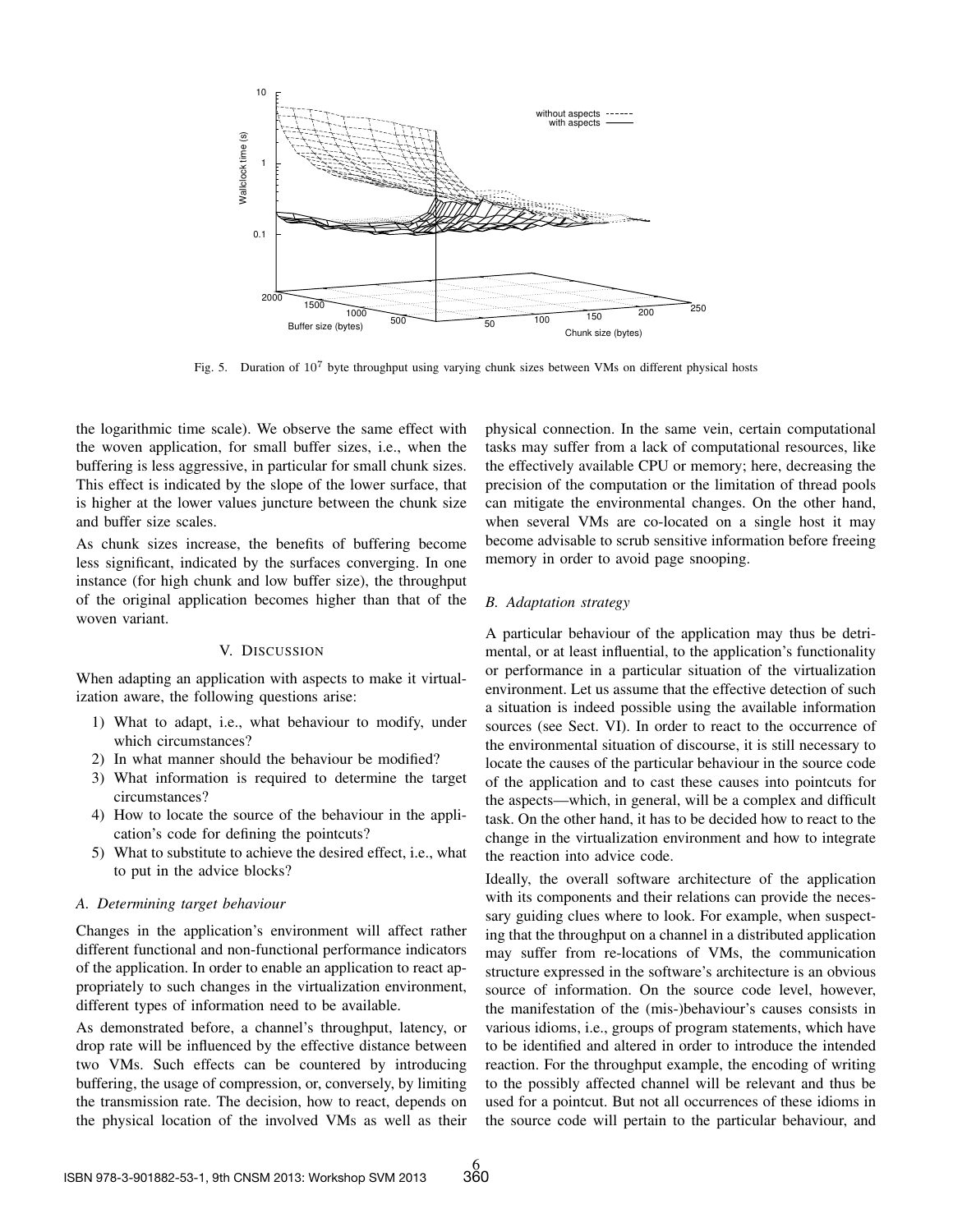

Fig. 5. Duration of 10<sup>7</sup> byte throughput using varying chunk sizes between VMs on different physical hosts

the logarithmic time scale). We observe the same effect with the woven application, for small buffer sizes, i.e., when the buffering is less aggressive, in particular for small chunk sizes. This effect is indicated by the slope of the lower surface, that is higher at the lower values juncture between the chunk size and buffer size scales.

As chunk sizes increase, the benefits of buffering become less significant, indicated by the surfaces converging. In one instance (for high chunk and low buffer size), the throughput of the original application becomes higher than that of the woven variant.

# V. DISCUSSION

When adapting an application with aspects to make it virtualization aware, the following questions arise:

- 1) What to adapt, i.e., what behaviour to modify, under which circumstances?
- 2) In what manner should the behaviour be modified?
- 3) What information is required to determine the target circumstances?
- 4) How to locate the source of the behaviour in the application's code for defining the pointcuts?
- 5) What to substitute to achieve the desired effect, i.e., what to put in the advice blocks?

## *A. Determining target behaviour*

Changes in the application's environment will affect rather different functional and non-functional performance indicators of the application. In order to enable an application to react appropriately to such changes in the virtualization environment, different types of information need to be available.

As demonstrated before, a channel's throughput, latency, or drop rate will be influenced by the effective distance between two VMs. Such effects can be countered by introducing buffering, the usage of compression, or, conversely, by limiting the transmission rate. The decision, how to react, depends on the physical location of the involved VMs as well as their physical connection. In the same vein, certain computational tasks may suffer from a lack of computational resources, like the effectively available CPU or memory; here, decreasing the precision of the computation or the limitation of thread pools can mitigate the environmental changes. On the other hand, when several VMs are co-located on a single host it may become advisable to scrub sensitive information before freeing memory in order to avoid page snooping.

#### *B. Adaptation strategy*

A particular behaviour of the application may thus be detrimental, or at least influential, to the application's functionality or performance in a particular situation of the virtualization environment. Let us assume that the effective detection of such a situation is indeed possible using the available information sources (see Sect. VI). In order to react to the occurrence of the environmental situation of discourse, it is still necessary to locate the causes of the particular behaviour in the source code of the application and to cast these causes into pointcuts for the aspects—which, in general, will be a complex and difficult task. On the other hand, it has to be decided how to react to the change in the virtualization environment and how to integrate the reaction into advice code.

Ideally, the overall software architecture of the application with its components and their relations can provide the necessary guiding clues where to look. For example, when suspecting that the throughput on a channel in a distributed application may suffer from re-locations of VMs, the communication structure expressed in the software's architecture is an obvious source of information. On the source code level, however, the manifestation of the (mis-)behaviour's causes consists in various idioms, i.e., groups of program statements, which have to be identified and altered in order to introduce the intended reaction. For the throughput example, the encoding of writing to the possibly affected channel will be relevant and thus be used for a pointcut. But not all occurrences of these idioms in the source code will pertain to the particular behaviour, and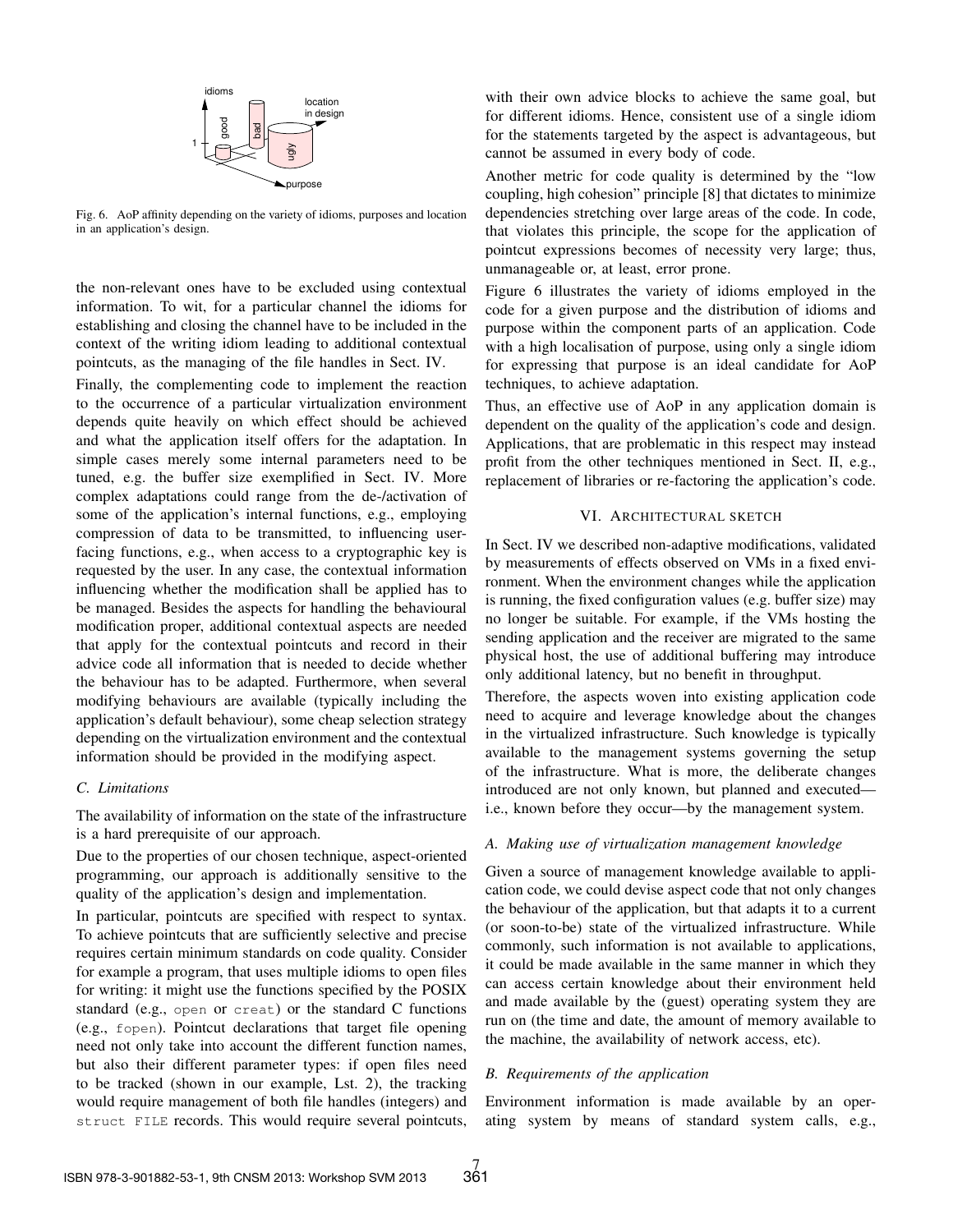

Fig. 6. AoP affinity depending on the variety of idioms, purposes and location in an application's design.

the non-relevant ones have to be excluded using contextual information. To wit, for a particular channel the idioms for establishing and closing the channel have to be included in the context of the writing idiom leading to additional contextual pointcuts, as the managing of the file handles in Sect. IV.

Finally, the complementing code to implement the reaction to the occurrence of a particular virtualization environment depends quite heavily on which effect should be achieved and what the application itself offers for the adaptation. In simple cases merely some internal parameters need to be tuned, e.g. the buffer size exemplified in Sect. IV. More complex adaptations could range from the de-/activation of some of the application's internal functions, e.g., employing compression of data to be transmitted, to influencing userfacing functions, e.g., when access to a cryptographic key is requested by the user. In any case, the contextual information influencing whether the modification shall be applied has to be managed. Besides the aspects for handling the behavioural modification proper, additional contextual aspects are needed that apply for the contextual pointcuts and record in their advice code all information that is needed to decide whether the behaviour has to be adapted. Furthermore, when several modifying behaviours are available (typically including the application's default behaviour), some cheap selection strategy depending on the virtualization environment and the contextual information should be provided in the modifying aspect.

# *C. Limitations*

The availability of information on the state of the infrastructure is a hard prerequisite of our approach.

Due to the properties of our chosen technique, aspect-oriented programming, our approach is additionally sensitive to the quality of the application's design and implementation.

In particular, pointcuts are specified with respect to syntax. To achieve pointcuts that are sufficiently selective and precise requires certain minimum standards on code quality. Consider for example a program, that uses multiple idioms to open files for writing: it might use the functions specified by the POSIX standard (e.g., open or creat) or the standard C functions (e.g., fopen). Pointcut declarations that target file opening need not only take into account the different function names, but also their different parameter types: if open files need to be tracked (shown in our example, Lst. 2), the tracking would require management of both file handles (integers) and struct FILE records. This would require several pointcuts,

with their own advice blocks to achieve the same goal, but for different idioms. Hence, consistent use of a single idiom for the statements targeted by the aspect is advantageous, but cannot be assumed in every body of code.

Another metric for code quality is determined by the "low coupling, high cohesion" principle [8] that dictates to minimize dependencies stretching over large areas of the code. In code, that violates this principle, the scope for the application of pointcut expressions becomes of necessity very large; thus, unmanageable or, at least, error prone.

Figure 6 illustrates the variety of idioms employed in the code for a given purpose and the distribution of idioms and purpose within the component parts of an application. Code with a high localisation of purpose, using only a single idiom for expressing that purpose is an ideal candidate for AoP techniques, to achieve adaptation.

Thus, an effective use of AoP in any application domain is dependent on the quality of the application's code and design. Applications, that are problematic in this respect may instead profit from the other techniques mentioned in Sect. II, e.g., replacement of libraries or re-factoring the application's code.

# VI. ARCHITECTURAL SKETCH

In Sect. IV we described non-adaptive modifications, validated by measurements of effects observed on VMs in a fixed environment. When the environment changes while the application is running, the fixed configuration values (e.g. buffer size) may no longer be suitable. For example, if the VMs hosting the sending application and the receiver are migrated to the same physical host, the use of additional buffering may introduce only additional latency, but no benefit in throughput.

Therefore, the aspects woven into existing application code need to acquire and leverage knowledge about the changes in the virtualized infrastructure. Such knowledge is typically available to the management systems governing the setup of the infrastructure. What is more, the deliberate changes introduced are not only known, but planned and executed i.e., known before they occur—by the management system.

## *A. Making use of virtualization management knowledge*

Given a source of management knowledge available to application code, we could devise aspect code that not only changes the behaviour of the application, but that adapts it to a current (or soon-to-be) state of the virtualized infrastructure. While commonly, such information is not available to applications, it could be made available in the same manner in which they can access certain knowledge about their environment held and made available by the (guest) operating system they are run on (the time and date, the amount of memory available to the machine, the availability of network access, etc).

## *B. Requirements of the application*

Environment information is made available by an operating system by means of standard system calls, e.g.,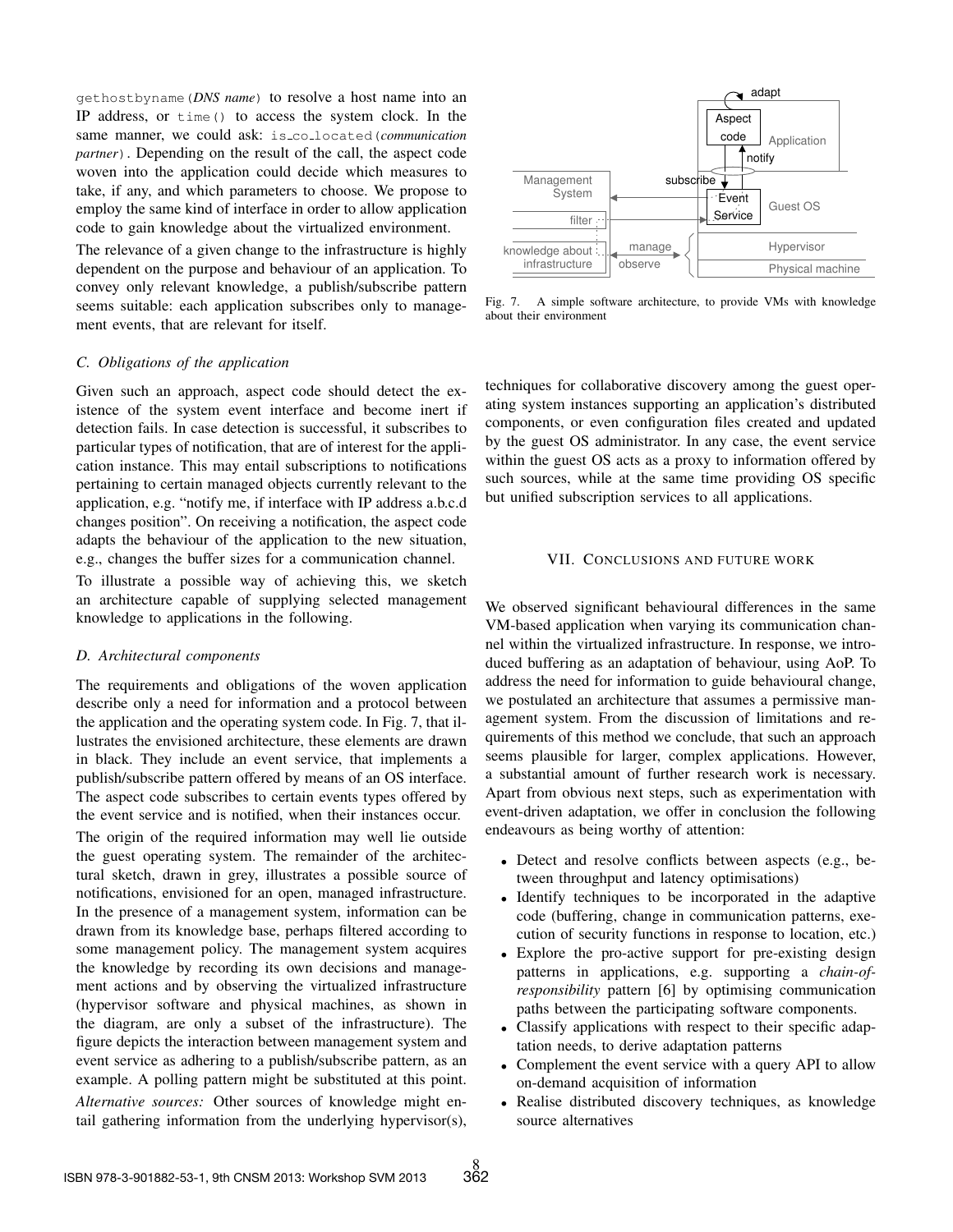gethostbyname(*DNS name*) to resolve a host name into an IP address, or time() to access the system clock. In the same manner, we could ask: is\_co\_located(*communication*) *partner*). Depending on the result of the call, the aspect code woven into the application could decide which measures to take, if any, and which parameters to choose. We propose to employ the same kind of interface in order to allow application code to gain knowledge about the virtualized environment.

The relevance of a given change to the infrastructure is highly dependent on the purpose and behaviour of an application. To convey only relevant knowledge, a publish/subscribe pattern seems suitable: each application subscribes only to management events, that are relevant for itself.

# *C. Obligations of the application*

Given such an approach, aspect code should detect the existence of the system event interface and become inert if detection fails. In case detection is successful, it subscribes to particular types of notification, that are of interest for the application instance. This may entail subscriptions to notifications pertaining to certain managed objects currently relevant to the application, e.g. "notify me, if interface with IP address a.b.c.d changes position". On receiving a notification, the aspect code adapts the behaviour of the application to the new situation, e.g., changes the buffer sizes for a communication channel.

To illustrate a possible way of achieving this, we sketch an architecture capable of supplying selected management knowledge to applications in the following.

# *D. Architectural components*

The requirements and obligations of the woven application describe only a need for information and a protocol between the application and the operating system code. In Fig. 7, that illustrates the envisioned architecture, these elements are drawn in black. They include an event service, that implements a publish/subscribe pattern offered by means of an OS interface. The aspect code subscribes to certain events types offered by the event service and is notified, when their instances occur.

The origin of the required information may well lie outside the guest operating system. The remainder of the architectural sketch, drawn in grey, illustrates a possible source of notifications, envisioned for an open, managed infrastructure. In the presence of a management system, information can be drawn from its knowledge base, perhaps filtered according to some management policy. The management system acquires the knowledge by recording its own decisions and management actions and by observing the virtualized infrastructure (hypervisor software and physical machines, as shown in the diagram, are only a subset of the infrastructure). The figure depicts the interaction between management system and event service as adhering to a publish/subscribe pattern, as an example. A polling pattern might be substituted at this point. *Alternative sources:* Other sources of knowledge might entail gathering information from the underlying hypervisor(s),



Fig. 7. A simple software architecture, to provide VMs with knowledge about their environment

techniques for collaborative discovery among the guest operating system instances supporting an application's distributed components, or even configuration files created and updated by the guest OS administrator. In any case, the event service within the guest OS acts as a proxy to information offered by such sources, while at the same time providing OS specific but unified subscription services to all applications.

# VII. CONCLUSIONS AND FUTURE WORK

We observed significant behavioural differences in the same VM-based application when varying its communication channel within the virtualized infrastructure. In response, we introduced buffering as an adaptation of behaviour, using AoP. To address the need for information to guide behavioural change, we postulated an architecture that assumes a permissive management system. From the discussion of limitations and requirements of this method we conclude, that such an approach seems plausible for larger, complex applications. However, a substantial amount of further research work is necessary. Apart from obvious next steps, such as experimentation with event-driven adaptation, we offer in conclusion the following endeavours as being worthy of attention:

- Detect and resolve conflicts between aspects (e.g., between throughput and latency optimisations)
- Identify techniques to be incorporated in the adaptive code (buffering, change in communication patterns, execution of security functions in response to location, etc.)
- Explore the pro-active support for pre-existing design patterns in applications, e.g. supporting a *chain-ofresponsibility* pattern [6] by optimising communication paths between the participating software components.
- Classify applications with respect to their specific adaptation needs, to derive adaptation patterns
- Complement the event service with a query API to allow on-demand acquisition of information
- Realise distributed discovery techniques, as knowledge source alternatives